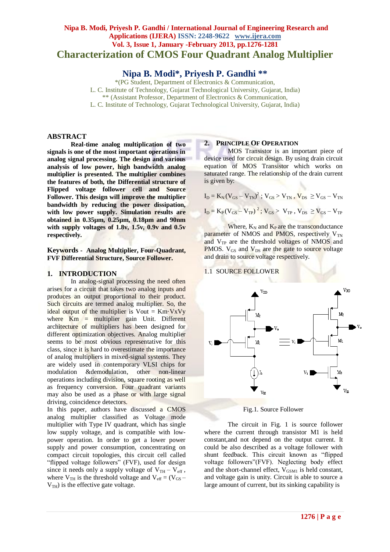# **Nipa B. Modi, Priyesh P. Gandhi / International Journal of Engineering Research and Applications (IJERA) ISSN: 2248-9622 www.ijera.com Vol. 3, Issue 1, January -February 2013, pp.1276-1281 Characterization of CMOS Four Quadrant Analog Multiplier**

**Nipa B. Modi\*, Priyesh P. Gandhi \*\***

\*(PG Student, Department of Electronics & Communication, L. C. Institute of Technology, Gujarat Technological University, Gujarat, India) \*\* (Assistant Professor, Department of Electronics & Communication, L. C. Institute of Technology, Gujarat Technological University, Gujarat, India)

### **ABSTRACT**

**Real-time analog multiplication of two signals is one of the most important operations in analog signal processing. The design and various analysis of low power, high bandwidth analog multiplier is presented. The multiplier combines the features of both, the Differential structure of Flipped voltage follower cell and Source Follower. This design will improve the multiplier bandwidth by reducing the power dissipation, with low power supply. Simulation results are obtained in 0.35µm, 0.25µm, 0.18µm and 90nm with supply voltages of 1.8v, 1.5v, 0.9v and 0.5v respectively.** 

**Keywords - Analog Multiplier, Four-Quadrant, FVF Differential Structure, Source Follower.**

## **1. INTRODUCTION**

In analog-signal processing the need often arises for a circuit that takes two analog inputs and produces an output proportional to their product. Such circuits are termed analog multiplier. So, the ideal output of the multiplier is Vout =  $Km\text{-}VxVy$ where  $\text{Km}$  = multiplier gain Unit. Different architecture of multipliers has been designed for different optimization objectives. Analog multiplier seems to be most obvious representative for this class, since it is hard to overestimate the importance of analog multipliers in mixed-signal systems. They are widely used in contemporary VLSI chips for modulation &demodulation, other non-linear operations including division, square rooting as well as frequency conversion. Four quadrant variants may also be used as a phase or with large signal driving, coincidence detectors.

In this paper, authors have discussed a CMOS analog multiplier classified as Voltage mode multiplier with Type IV quadrant, which has single low supply voltage, and is compatible with lowpower operation. In order to get a lower power supply and power consumption, concentrating on compact circuit topologies, this circuit cell called "flipped voltage followers" (FVF), used for design since it needs only a supply voltage of  $V_{TH} - V_{eff}$ , where  $V_{TH}$  is the threshold voltage and  $V_{eff} = (V_{GS} V<sub>TH</sub>$ ) is the effective gate voltage.

#### **2. PRINCIPLE OF OPERATION**

MOS Transistor is an important piece of device used for circuit design. By using drain circuit equation of MOS Transistor which works on saturated range. The relationship of the drain current is given by:

$$
\begin{aligned} &I_{\rm D} = K_{\rm N} \left( V_{\rm GS} - V_{\rm TN} \right)^2 \, ; \, V_{\rm GS} > V_{\rm TN} \, , \, V_{\rm DS} \, \geq V_{\rm GS} - V_{\rm TN} \\ &I_{\rm D} = K_{\rm P} \left( V_{\rm GS} - V_{\rm TP} \right)^2 \, ; \, V_{\rm GS} > \, V_{\rm TP} \, , \, V_{\rm DS} \, \geq V_{\rm GS} - V_{\rm TP} \, , \end{aligned}
$$

Where,  $K_N$  and  $K_P$  are the transconductance parameter of NMOS and PMOS, respectively  $V_{TN}$ and  $V_{TP}$  are the threshold voltages of NMOS and PMOS.  $V_{GS}$  and  $V_{DS}$  are the gate to source voltage and drain to source voltage respectively.

#### 1.1 SOURCE FOLLOWER



Fig.1. Source Follower

The circuit in Fig. 1 is source follower where the current through transistor M1 is held constant,and not depend on the output current. It could be also described as a voltage follower with shunt feedback. This circuit known as "flipped voltage followers"(FVF). Neglecting body effect and the short-channel effect,  $V_{GSM1}$  is held constant, and voltage gain is unity. Circuit is able to source a large amount of current, but its sinking capability is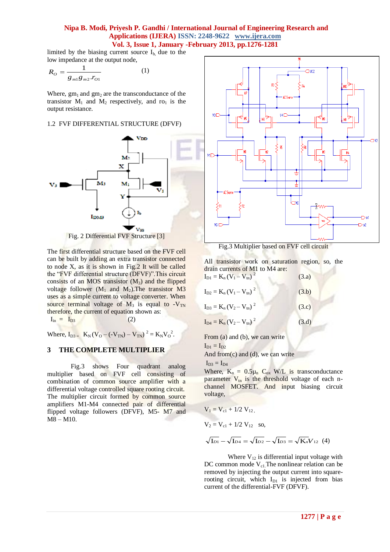limited by the biasing current source  $I<sub>b</sub>$ , due to the low impedance at the output node,

$$
R_O = \frac{1}{g_{m1}g_{m2} \cdot r_{O1}}\tag{1}
$$

Where,  $gm_1$  and  $gm_2$  are the transconductance of the transistor  $M_1$  and  $M_2$  respectively, and ro<sub>1</sub> is the output resistance.

1.2 FVF DIFFERENTIAL STRUCTURE (DFVF)



Fig. 2 Differential FVF Structure [3]

The first differential structure based on the FVF cell can be built by adding an extra transistor connected to node X, as it is shown in Fig.2 It will be called the "FVF differential structure (DFVF)".This circuit consists of an MOS transistor  $(M_3)$  and the flipped voltage follower  $(M_1 \text{ and } M_2)$ . The transistor M3 uses as a simple current to voltage converter. When source terminal voltage of  $M_3$  is equal to -V<sub>TN</sub> therefore, the current of equation shown as:  $I_{in} = I_{D3}$  (2)

Where,  $I_{D3} = K_N (V_O - (-V_{TN}) - V_{TN})^2 = K_N V_O^2$ .

## **3 THE COMPLETE MULTIPLIER**

Fig.3 shows Four quadrant analog multiplier based on FVF cell consisting of combination of common source amplifier with a differential voltage controlled square rooting circuit. The multiplier circuit formed by common source amplifiers M1-M4 connected pair of differential flipped voltage followers (DFVF), M5- M7 and M8 – M10.



Fig.3 Multiplier based on FVF cell circuit

All transistor work on saturation region, so, the drain currents of M1 to M4 are:  $I_{\text{D1}} = K_{\text{n}} (V_1 - V_{\text{tn}})^2$ (3.a)

| $I_{D2} = K_n (V_1 - V_m)^2$ | (3.b) |
|------------------------------|-------|
| $I_{D3} = K_n (V_2 - V_m)^2$ | (3.c) |
| $I_{D4} = K_n (V_2 - V_m)^2$ | (3.d) |
|                              |       |

From (a) and (b), we can write

 $I_{D1} = I_{D2}$ 

And from $(c)$  and  $(d)$ , we can write

 $I_{D3} = I_{D4}$ 

Where,  $K_n = 0.5\mu_n C_{ox}$  W/L is transconductance parameter  $V_{tn}$  is the threshold voltage of each nchannel MOSFET. And input biasing circuit voltage,

$$
V_1 = V_{c1} + 1/2 V_{12}
$$
,  
\n $V_2 = V_{c1} + 1/2 V_{12}$  so,

$$
\sqrt{\mathrm{L}_{21}} - \sqrt{\mathrm{L}_{24}} = \sqrt{\mathrm{L}_{22}} - \sqrt{\mathrm{L}_{23}} = \sqrt{\mathrm{K}_{n}} V_{12} \tag{4}
$$

Where  $V_{12}$  is differential input voltage with DC common mode  $V_{c1}$ . The nonlinear relation can be removed by injecting the output current into squarerooting circuit, which  $I_{D1}$  is injected from bias current of the differential-FVF (DFVF).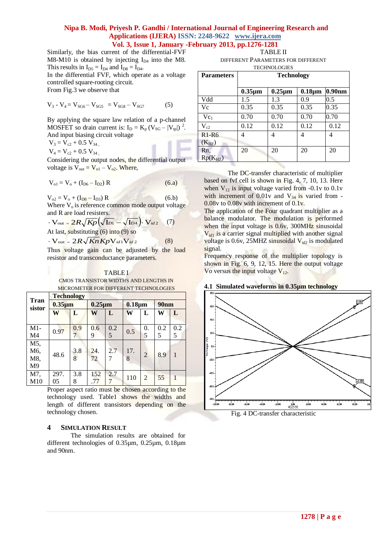Similarly, the bias current of the differential-FVF M8-M10 is obtained by injecting  $I_{DA}$  into the M8. This results in  $I_{D5} = I_{D4}$  and  $I_{D8} = I_{D4}$ . In the differential FVF, which operate as a voltage controlled square-rooting circuit.

From Fig.3 we observe that

$$
V_3 - V_4 = V_{SG6} - V_{SG5} = V_{SG8} - V_{SG7}
$$
 (5)

By applying the square law relation of a p-channel MOSFET so drain current is:  $I_D = K_p (V_{SG} - |V_{tp}|)^2$ . And input biasing circuit voltage

 $V_3 = V_{c2} + 0.5 V_{34}$ 

 $V_4 = V_{c2} + 0.5 V_{34}$ 

Considering the output nodes, the differential output voltage is  $V_{\text{out}} = V_{\text{o}1} - V_{\text{o}2}$ . Where,

$$
V_{o1} = V_o + (I_{D6} - I_{D2}) R
$$
 (6.a)

 $V_{o2} = V_o + (I_{D8} - I_{D3}) R$  (6.b) Where  $V_0$  is reference common mode output voltage and R are load resisters.

$$
\mathbf{V}_{\text{out}} = 2R\sqrt{Kp} \left( \sqrt{\mathbf{I}_{D1}} - \sqrt{\mathbf{I}_{D4}} \right) \mathbf{V}_{id2} \quad (7)
$$
  
At last, substituting (6) into (9) so

 $\cdot$  V<sub>out</sub> = 2*R* $\sqrt{Kn}$ *Kp*V<sub>id</sub><sub>1</sub>V<sub>id</sub><sub>2</sub>

Thus voltage gain can be adjusted by the load resistor and transconductance parameters.

(8)

#### **TABLE I**

CMOS TRANSISTOR WIDTHS AND LENGTHS IN MICROMETER FOR DIFFERENT TECHNOLOGIES

|                       | <b>Technology</b> |     |              |     |              |                |             |     |
|-----------------------|-------------------|-----|--------------|-----|--------------|----------------|-------------|-----|
| <b>Tran</b><br>sistor | $0.35 \mu m$      |     | $0.25 \mu m$ |     | $0.18 \mu m$ |                | <b>90nm</b> |     |
|                       | W                 | L   | W            | L   | W            | L              | W           | L   |
|                       |                   |     |              |     |              |                |             |     |
| $M1-$                 | 0.97              | 0.9 | 0.6          | 0.2 | 0.5          | 0.             | 0.2         | 0.2 |
| M4                    |                   | 7   | 9            | 5   |              | 5              | 5           | 5   |
| M5,                   |                   |     |              |     |              |                |             |     |
| M6,                   | 48.6              | 3.8 | 24.          | 2.7 | 17.          | $\overline{2}$ | 8.9         | 1   |
| M8,                   |                   | 8   | 72           |     | 8            |                |             |     |
| M <sup>9</sup>        |                   |     |              |     |              |                |             |     |
| M7,                   | 297.              | 3.8 | 152          | 2.7 | 110          | 2              | 55          |     |
| M10                   | 05                | 8   | .77          |     |              |                |             |     |

Proper aspect ratio must be chosen according to the technology used. Table1 shows the widths and length of different transistors depending on the technology chosen.

#### **4 SIMULATION RESULT**

The simulation results are obtained for different technologies of 0.35µm, 0.25µm, 0.18µm and 90nm.

TABLE II DIFFERENT PARAMETERS FOR DIFFERENT TECHNOLOGIES

| <b>Parameters</b>   | <b>Technology</b> |              |              |           |
|---------------------|-------------------|--------------|--------------|-----------|
|                     | $0.35 \mu m$      | $0.25 \mu m$ | $0.18 \mu m$ | $0.90$ nm |
| Vdd                 | 1.5               | 1.3          | 0.9          | 0.5       |
| Vc                  | 0.35              | 0.35         | 0.35         | 0.35      |
| $Vc_1$              | 0.70              | 0.70         | 0.70         | 0.70      |
| $V_{c2}$            | 0.12              | 0.12         | 0.12         | 0.12      |
| $R1-R6$             | 4                 | 4            | 4            | 4         |
| $(K_{HZ})$          |                   |              |              |           |
| Rn,<br>$Rp(K_{HZ})$ | 20                | 20           | 20           | 20        |

The DC-transfer characteristic of multiplier based on fvf cell is shown in Fig. 4, 7, 10, 13. Here when  $V_{12}$  is input voltage varied from -0.1v to 0.1v with increment of  $0.01v$  and  $V_{34}$  is varied from -0.08v to 0.08v with increment of 0.1v.

The application of the Four quadrant multiplier as a balance modulator. The modulation is performed when the input voltage is 0.6v, 300MHz sinusoidal  $V_{\text{id}}$  is a carrier signal multiplied with another signal voltage is 0.6v, 25MHZ sinusoidal  $V_{id2}$  is modulated signal.

Frequency response of the multiplier topology is shown in Fig. 6, 9, 12, 15. Here the output voltage Vo versus the input voltage  $V_{12}$ .

#### **4.1 Simulated waveforms in 0.35µm technology**



Fig. 4 DC-transfer characteristic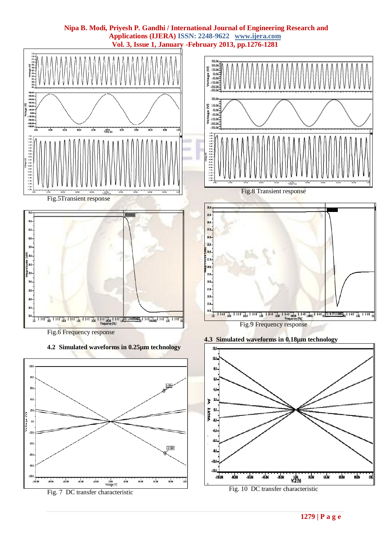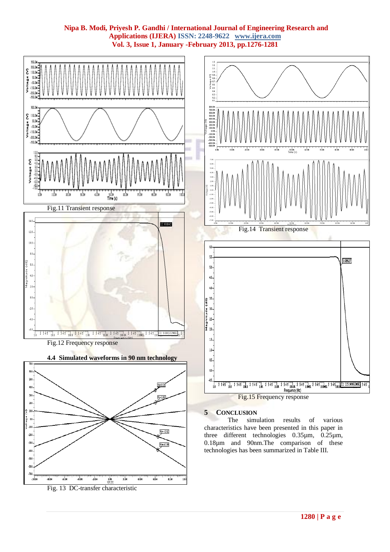